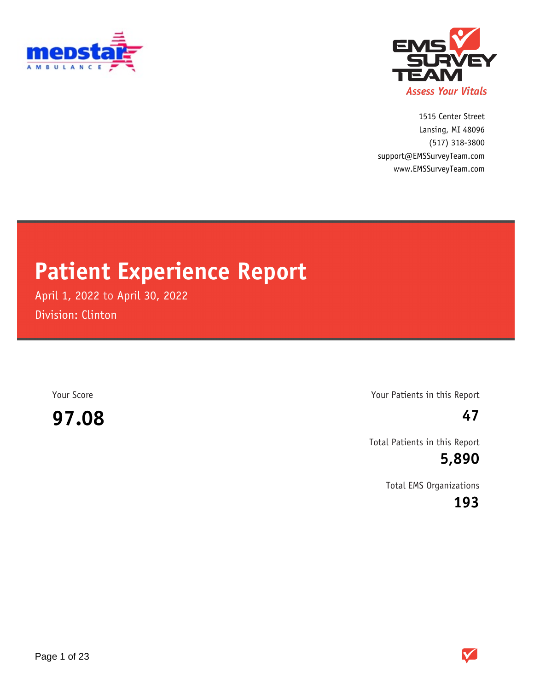



1515 Center Street (517) 318-3800 www.EMSSurveyTeam.com support@EMSSurveyTeam.com Lansing, MI 48096

# **Patient Experience Report**

April 1, 2022 to April 30, 2022 Division: Clinton

**97.08 47**

Your Score Your Patients in this Report

Total Patients in this Report

**5,890**

Total EMS Organizations

**193**

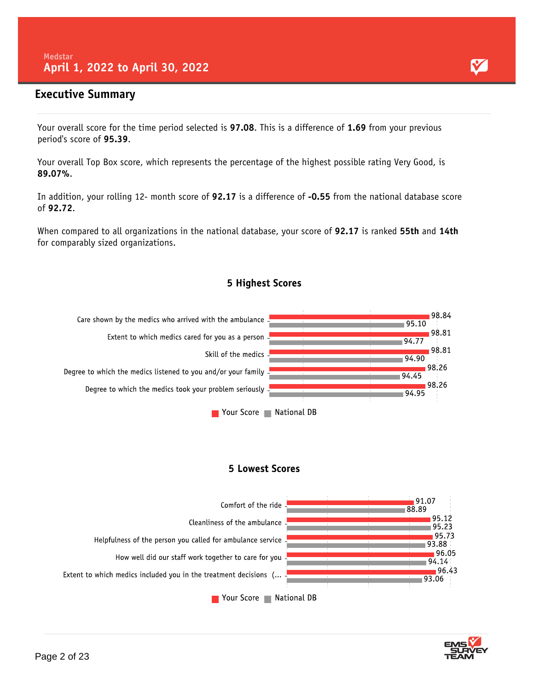#### **Executive Summary**

Your overall score for the time period selected is **97.08**. This is a difference of **1.69** from your previous period's score of **95.39**.

Your overall Top Box score, which represents the percentage of the highest possible rating Very Good, is **89.07%**.

In addition, your rolling 12- month score of **92.17** is a difference of **-0.55** from the national database score of **92.72**.

When compared to all organizations in the national database, your score of **92.17** is ranked **55th** and **14th** for comparably sized organizations.



5 Highest Scores

#### **5 Lowest Scores**



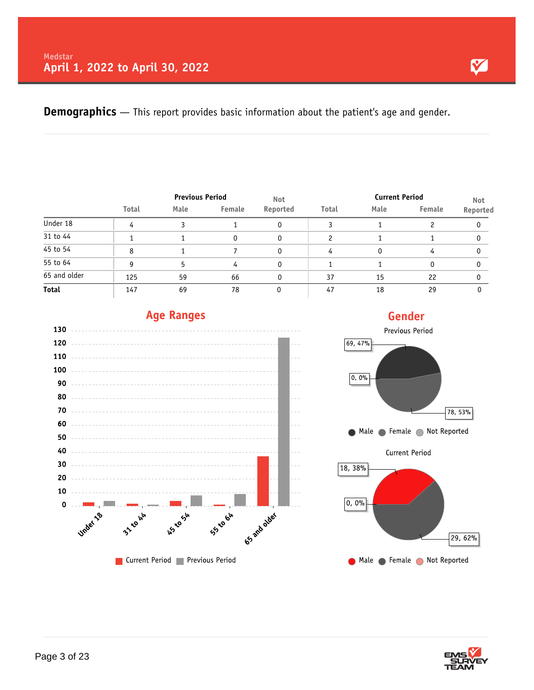**Demographics** — This report provides basic information about the patient's age and gender.

|              | <b>Previous Period</b> |      |        | <b>Not</b> |       | <b>Current Period</b> | <b>Not</b> |          |
|--------------|------------------------|------|--------|------------|-------|-----------------------|------------|----------|
|              | <b>Total</b>           | Male | Female | Reported   | Total | Male                  | Female     | Reported |
| Under 18     | 4                      |      |        |            | 3     |                       |            |          |
| 31 to 44     |                        |      |        |            |       |                       |            |          |
| 45 to 54     | 8                      |      |        |            | 4     | 0                     | 4          |          |
| 55 to 64     | g                      |      | 4      |            |       |                       | 0          |          |
| 65 and older | 125                    | 59   | 66     |            | 37    | 15                    | 22         |          |
| <b>Total</b> | 147                    | 69   | 78     |            | 47    | 18                    | 29         |          |









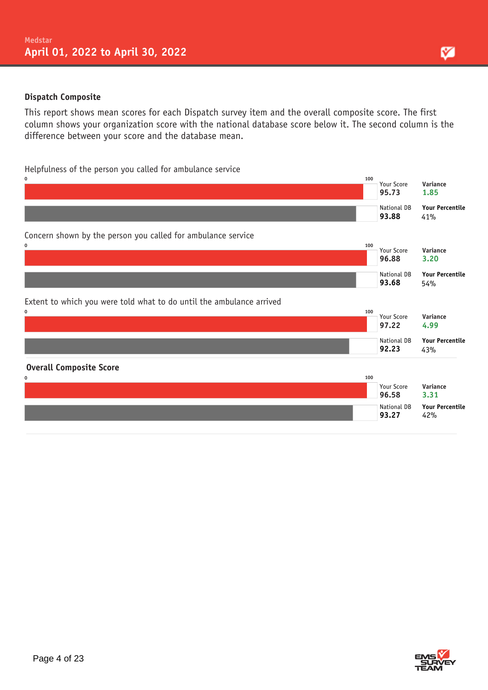#### **Dispatch Composite**

This report shows mean scores for each Dispatch survey item and the overall composite score. The first column shows your organization score with the national database score below it. The second column is the difference between your score and the database mean.

#### Helpfulness of the person you called for ambulance service

| 0<br>100                                                                         | Your Score<br>95.73  | Variance<br>1.85              |
|----------------------------------------------------------------------------------|----------------------|-------------------------------|
|                                                                                  | National DB<br>93.88 | <b>Your Percentile</b><br>41% |
| Concern shown by the person you called for ambulance service<br>0<br>100         |                      |                               |
|                                                                                  | Your Score<br>96.88  | Variance<br>3.20              |
|                                                                                  | National DB<br>93.68 | <b>Your Percentile</b><br>54% |
| Extent to which you were told what to do until the ambulance arrived<br>0<br>100 |                      |                               |
|                                                                                  | Your Score<br>97.22  | Variance<br>4.99              |
|                                                                                  | National DB<br>92.23 | <b>Your Percentile</b><br>43% |
| <b>Overall Composite Score</b>                                                   |                      |                               |
| 100<br>0                                                                         | Your Score<br>96.58  | Variance<br>3.31              |
|                                                                                  | National DB<br>93.27 | <b>Your Percentile</b><br>42% |



M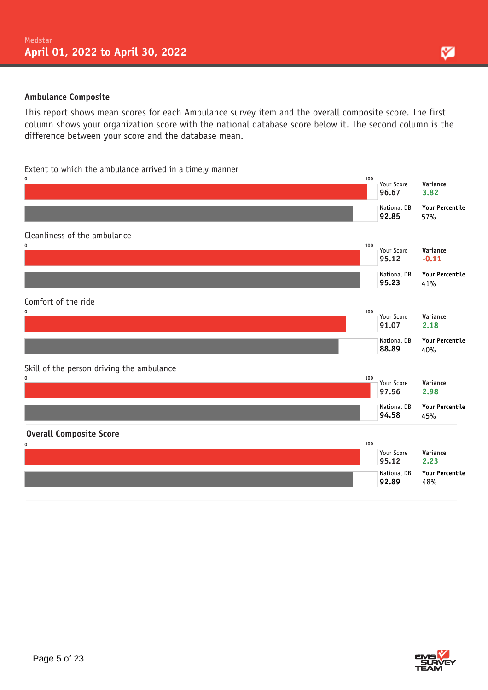#### **Ambulance Composite**

This report shows mean scores for each Ambulance survey item and the overall composite score. The first column shows your organization score with the national database score below it. The second column is the difference between your score and the database mean.

#### Extent to which the ambulance arrived in a timely manner





M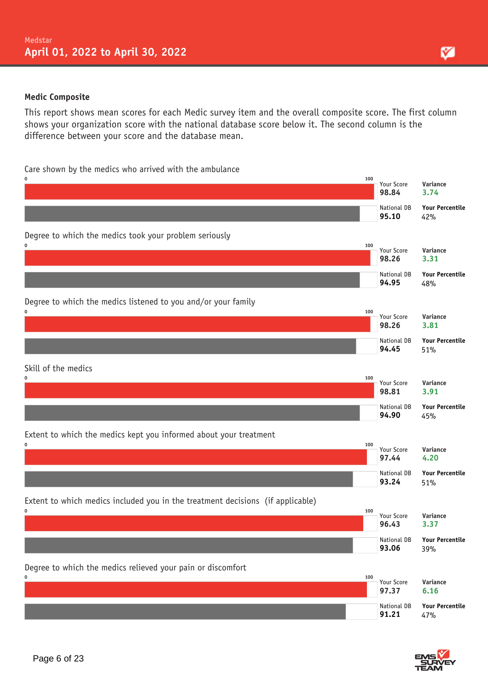#### **Medic Composite**

This report shows mean scores for each Medic survey item and the overall composite score. The first column shows your organization score with the national database score below it. The second column is the difference between your score and the database mean.

Care shown by the medics who arrived with the ambulance



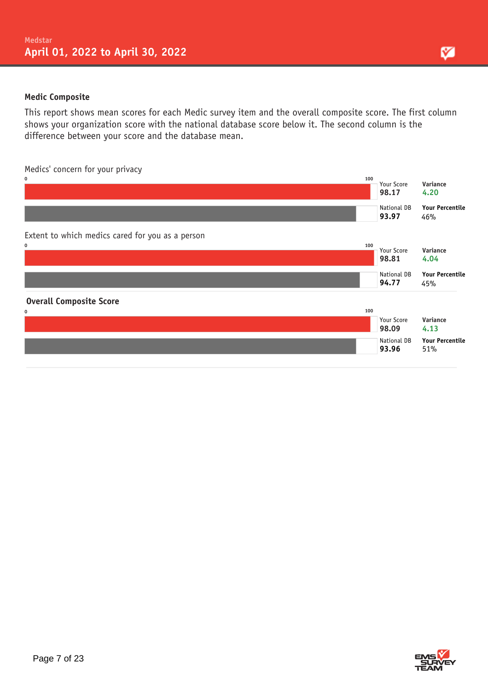#### **Medic Composite**

This report shows mean scores for each Medic survey item and the overall composite score. The first column shows your organization score with the national database score below it. The second column is the difference between your score and the database mean.

Medics' concern for your privacy





M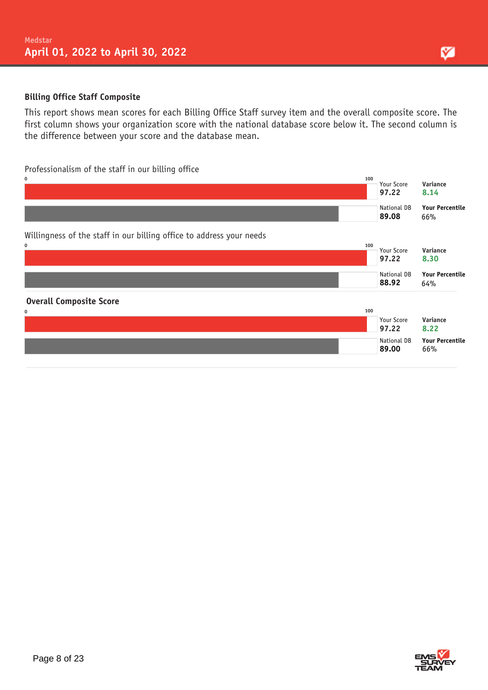#### **Billing Office Staff Composite**

This report shows mean scores for each Billing Office Staff survey item and the overall composite score. The first column shows your organization score with the national database score below it. The second column is the difference between your score and the database mean.

#### Professionalism of the staff in our billing office



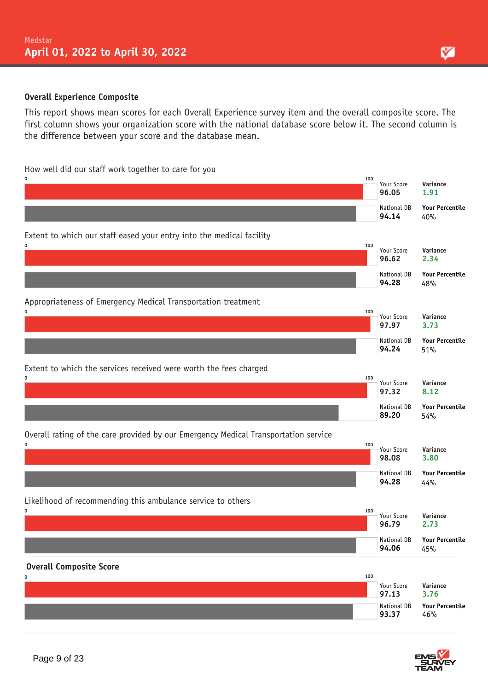#### **Overall Experience Composite**

This report shows mean scores for each Overall Experience survey item and the overall composite score. The first column shows your organization score with the national database score below it. The second column is the difference between your score and the database mean.

#### How well did our staff work together to care for you

| 0                                                                                   | 100 | Your Score<br>96.05  | Variance<br>1.91              |
|-------------------------------------------------------------------------------------|-----|----------------------|-------------------------------|
|                                                                                     |     | National DB<br>94.14 | <b>Your Percentile</b><br>40% |
| Extent to which our staff eased your entry into the medical facility                |     |                      |                               |
| 0                                                                                   | 100 | Your Score<br>96.62  | Variance<br>2.34              |
|                                                                                     |     | National DB<br>94.28 | <b>Your Percentile</b><br>48% |
| Appropriateness of Emergency Medical Transportation treatment                       |     |                      |                               |
| 0                                                                                   | 100 | Your Score<br>97.97  | Variance<br>3.73              |
|                                                                                     |     | National DB<br>94.24 | <b>Your Percentile</b><br>51% |
| Extent to which the services received were worth the fees charged                   |     |                      |                               |
| 0                                                                                   | 100 | Your Score<br>97.32  | Variance<br>8.12              |
|                                                                                     |     | National DB<br>89.20 | <b>Your Percentile</b><br>54% |
| Overall rating of the care provided by our Emergency Medical Transportation service |     |                      |                               |
| 0                                                                                   | 100 | Your Score<br>98.08  | Variance<br>3.80              |
|                                                                                     |     | National DB<br>94.28 | <b>Your Percentile</b><br>44% |
| Likelihood of recommending this ambulance service to others                         |     |                      |                               |
| 0                                                                                   | 100 | Your Score<br>96.79  | Variance<br>2.73              |
|                                                                                     |     | National DB<br>94.06 | <b>Your Percentile</b><br>45% |
| <b>Overall Composite Score</b>                                                      |     |                      |                               |
| 0                                                                                   | 100 | Your Score<br>97.13  | Variance<br>3.76              |
|                                                                                     |     | National DB<br>93.37 | <b>Your Percentile</b><br>46% |

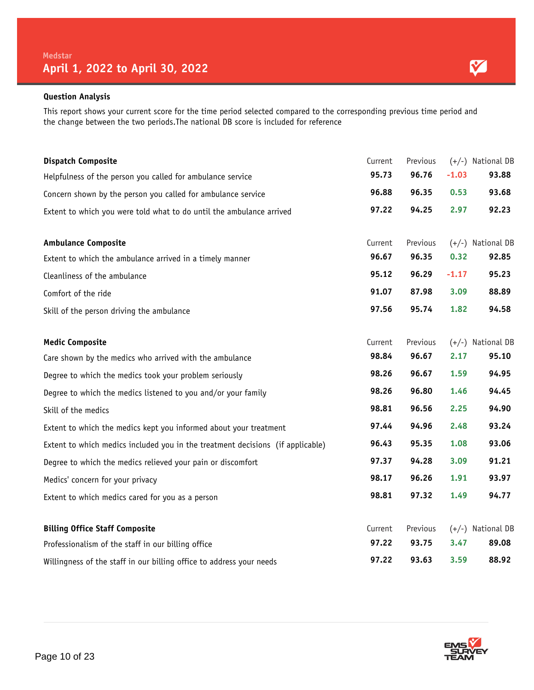This report shows your current score for the time period selected compared to the corresponding previous time period and the change between the two periods.The national DB score is included for reference

| <b>Dispatch Composite</b>                                                      | Current | Previous |         | $(+/-)$ National DB |
|--------------------------------------------------------------------------------|---------|----------|---------|---------------------|
| Helpfulness of the person you called for ambulance service                     | 95.73   | 96.76    | $-1.03$ | 93.88               |
| Concern shown by the person you called for ambulance service                   | 96.88   | 96.35    | 0.53    | 93.68               |
| Extent to which you were told what to do until the ambulance arrived           | 97.22   | 94.25    | 2.97    | 92.23               |
| <b>Ambulance Composite</b>                                                     | Current | Previous |         | $(+/-)$ National DB |
| Extent to which the ambulance arrived in a timely manner                       | 96.67   | 96.35    | 0.32    | 92.85               |
| Cleanliness of the ambulance                                                   | 95.12   | 96.29    | $-1.17$ | 95.23               |
| Comfort of the ride                                                            | 91.07   | 87.98    | 3.09    | 88.89               |
| Skill of the person driving the ambulance                                      | 97.56   | 95.74    | 1.82    | 94.58               |
| <b>Medic Composite</b>                                                         | Current | Previous |         | $(+/-)$ National DB |
| Care shown by the medics who arrived with the ambulance                        | 98.84   | 96.67    | 2.17    | 95.10               |
| Degree to which the medics took your problem seriously                         | 98.26   | 96.67    | 1.59    | 94.95               |
| Degree to which the medics listened to you and/or your family                  | 98.26   | 96.80    | 1.46    | 94.45               |
| Skill of the medics                                                            | 98.81   | 96.56    | 2.25    | 94.90               |
| Extent to which the medics kept you informed about your treatment              | 97.44   | 94.96    | 2.48    | 93.24               |
| Extent to which medics included you in the treatment decisions (if applicable) | 96.43   | 95.35    | 1.08    | 93.06               |
| Degree to which the medics relieved your pain or discomfort                    | 97.37   | 94.28    | 3.09    | 91.21               |
| Medics' concern for your privacy                                               | 98.17   | 96.26    | 1.91    | 93.97               |
| Extent to which medics cared for you as a person                               | 98.81   | 97.32    | 1.49    | 94.77               |
| <b>Billing Office Staff Composite</b>                                          | Current | Previous |         | $(+/-)$ National DB |
| Professionalism of the staff in our billing office                             | 97.22   | 93.75    | 3.47    | 89.08               |
| Willingness of the staff in our billing office to address your needs           | 97.22   | 93.63    | 3.59    | 88.92               |



Y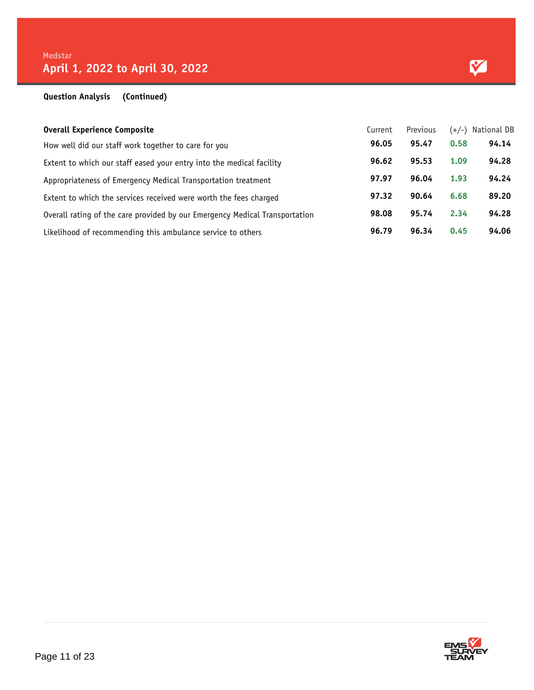#### **Question Analysis (Continued)**

| <b>Overall Experience Composite</b>                                         | Current | Previous | $(+/-)$ | National DB |
|-----------------------------------------------------------------------------|---------|----------|---------|-------------|
| How well did our staff work together to care for you                        | 96.05   | 95.47    | 0.58    | 94.14       |
| Extent to which our staff eased your entry into the medical facility        | 96.62   | 95.53    | 1.09    | 94.28       |
| Appropriateness of Emergency Medical Transportation treatment               | 97.97   | 96.04    | 1.93    | 94.24       |
| Extent to which the services received were worth the fees charged           | 97.32   | 90.64    | 6.68    | 89.20       |
| Overall rating of the care provided by our Emergency Medical Transportation | 98.08   | 95.74    | 2.34    | 94.28       |
| Likelihood of recommending this ambulance service to others                 | 96.79   | 96.34    | 0.45    | 94.06       |

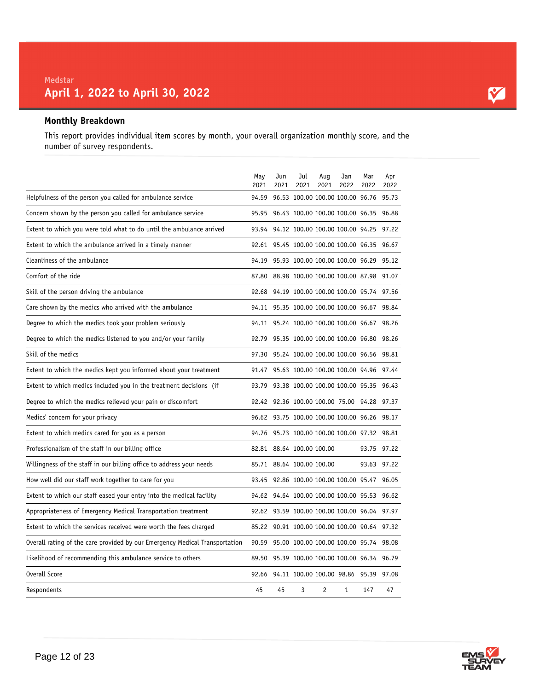#### **Monthly Breakdown**

This report provides individual item scores by month, your overall organization monthly score, and the number of survey respondents.

|                                                                             | May<br>2021 | Jun<br>2021 | Jul<br>2021               | Aug<br>2021 | Jan<br>2022                                  | Mar<br>2022 | Apr<br>2022 |
|-----------------------------------------------------------------------------|-------------|-------------|---------------------------|-------------|----------------------------------------------|-------------|-------------|
| Helpfulness of the person you called for ambulance service                  | 94.59       |             |                           |             | 96.53 100.00 100.00 100.00 96.76 95.73       |             |             |
| Concern shown by the person you called for ambulance service                | 95.95       |             |                           |             | 96.43 100.00 100.00 100.00 96.35 96.88       |             |             |
| Extent to which you were told what to do until the ambulance arrived        | 93.94       |             |                           |             | 94.12 100.00 100.00 100.00 94.25             |             | 97.22       |
| Extent to which the ambulance arrived in a timely manner                    |             |             |                           |             | 92.61 95.45 100.00 100.00 100.00 96.35 96.67 |             |             |
| Cleanliness of the ambulance                                                |             |             |                           |             | 94.19 95.93 100.00 100.00 100.00 96.29       |             | 95.12       |
| Comfort of the ride                                                         | 87.80       |             |                           |             | 88.98 100.00 100.00 100.00 87.98             |             | 91.07       |
| Skill of the person driving the ambulance                                   | 92.68       |             |                           |             | 94.19 100.00 100.00 100.00 95.74             |             | 97.56       |
| Care shown by the medics who arrived with the ambulance                     |             |             |                           |             | 94.11 95.35 100.00 100.00 100.00 96.67       |             | 98.84       |
| Degree to which the medics took your problem seriously                      |             |             |                           |             | 94.11 95.24 100.00 100.00 100.00 96.67       |             | 98.26       |
| Degree to which the medics listened to you and/or your family               | 92.79       |             |                           |             | 95.35 100.00 100.00 100.00 96.80             |             | 98.26       |
| Skill of the medics                                                         | 97.30       |             |                           |             | 95.24 100.00 100.00 100.00 96.56             |             | 98.81       |
| Extent to which the medics kept you informed about your treatment           |             |             |                           |             | 91.47 95.63 100.00 100.00 100.00 94.96 97.44 |             |             |
| Extent to which medics included you in the treatment decisions (if          | 93.79       |             |                           |             | 93.38 100.00 100.00 100.00 95.35 96.43       |             |             |
| Degree to which the medics relieved your pain or discomfort                 | 92.42       |             |                           |             | 92.36 100.00 100.00 75.00 94.28 97.37        |             |             |
| Medics' concern for your privacy                                            |             |             |                           |             | 96.62 93.75 100.00 100.00 100.00 96.26 98.17 |             |             |
| Extent to which medics cared for you as a person                            |             |             |                           |             | 94.76 95.73 100.00 100.00 100.00 97.32 98.81 |             |             |
| Professionalism of the staff in our billing office                          |             |             | 82.81 88.64 100.00 100.00 |             |                                              | 93.75 97.22 |             |
| Willingness of the staff in our billing office to address your needs        |             |             | 85.71 88.64 100.00 100.00 |             |                                              | 93.63 97.22 |             |
| How well did our staff work together to care for you                        | 93.45       |             |                           |             | 92.86 100.00 100.00 100.00 95.47 96.05       |             |             |
| Extent to which our staff eased your entry into the medical facility        |             |             |                           |             | 94.62 94.64 100.00 100.00 100.00 95.53 96.62 |             |             |
| Appropriateness of Emergency Medical Transportation treatment               |             |             |                           |             | 92.62 93.59 100.00 100.00 100.00 96.04       |             | 97.97       |
| Extent to which the services received were worth the fees charged           | 85.22       |             |                           |             | 90.91 100.00 100.00 100.00 90.64             |             | 97.32       |
| Overall rating of the care provided by our Emergency Medical Transportation | 90.59       |             |                           |             | 95.00 100.00 100.00 100.00 95.74 98.08       |             |             |
| Likelihood of recommending this ambulance service to others                 | 89.50       |             |                           |             | 95.39 100.00 100.00 100.00 96.34             |             | 96.79       |
| Overall Score                                                               | 92.66       |             |                           |             | 94.11 100.00 100.00 98.86 95.39              |             | 97.08       |
| Respondents                                                                 | 45          | 45          | 3                         | 2           | $\mathbf{1}$                                 | 147         | 47          |



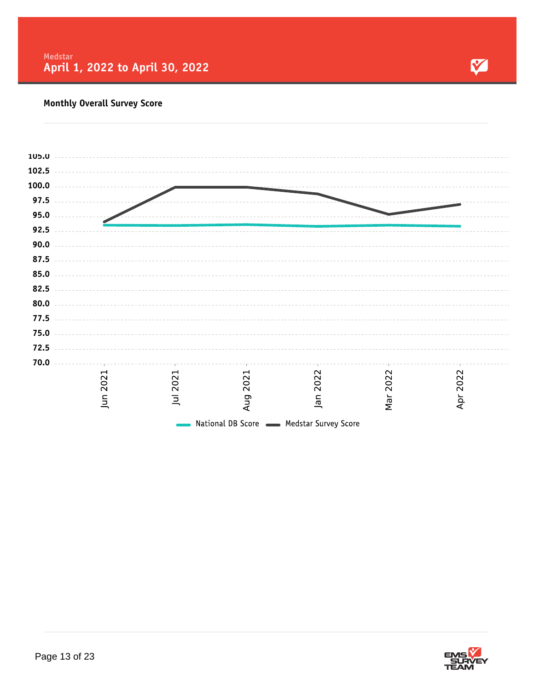

### **Monthly Overall Survey Score**

| 105.0 |                         |                |                                          |                |      |      |  |
|-------|-------------------------|----------------|------------------------------------------|----------------|------|------|--|
| 102.5 |                         |                |                                          |                |      |      |  |
| 100.0 |                         |                |                                          |                |      |      |  |
| 97.5  |                         |                |                                          |                |      |      |  |
| 95.0  |                         |                |                                          |                |      |      |  |
|       |                         |                |                                          |                |      |      |  |
| 92.5  |                         |                |                                          |                |      |      |  |
| 90.0  |                         |                |                                          |                |      |      |  |
| 87.5  |                         |                |                                          |                |      |      |  |
| 85.0  |                         |                |                                          |                |      |      |  |
| 82.5  |                         |                |                                          |                |      |      |  |
| 80.0  |                         |                |                                          |                |      |      |  |
| 77.5  |                         |                |                                          |                |      |      |  |
| 75.0  |                         |                |                                          |                |      |      |  |
|       |                         |                |                                          |                |      |      |  |
| 72.5  |                         |                |                                          |                |      |      |  |
| 70.0  |                         |                |                                          |                |      |      |  |
|       | 2021                    | 2021           | 2021                                     | 2022           | 2022 | 2022 |  |
|       |                         |                |                                          |                |      |      |  |
|       | $\overline{\mathsf{m}}$ | $\overline{a}$ | Aug                                      | $\overline{a}$ | Mar  | Apr  |  |
|       |                         |                | National DB Score - Medstar Survey Score |                |      |      |  |
|       |                         |                |                                          |                |      |      |  |

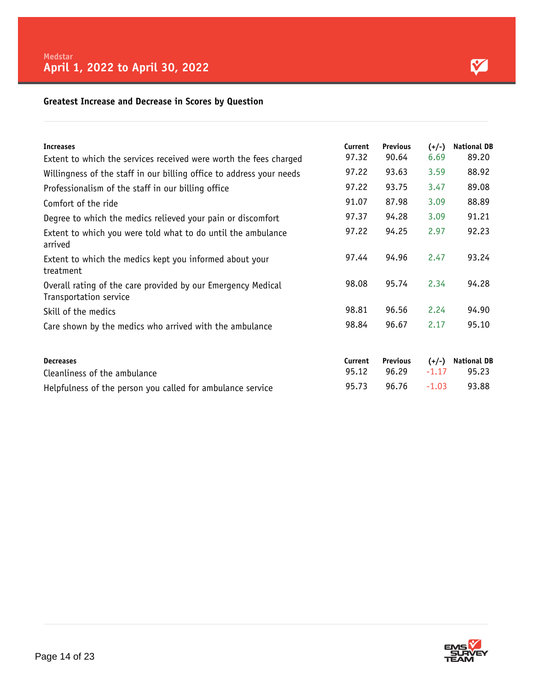#### **Greatest Increase and Decrease in Scores by Question**

| <b>Increases</b>                                                                       | Current | <b>Previous</b>                | $(+/-)$ | <b>National DB</b>             |
|----------------------------------------------------------------------------------------|---------|--------------------------------|---------|--------------------------------|
| Extent to which the services received were worth the fees charged                      | 97.32   | 90.64                          | 6.69    | 89.20                          |
| Willingness of the staff in our billing office to address your needs                   | 97.22   | 93.63                          | 3.59    | 88.92                          |
| Professionalism of the staff in our billing office                                     | 97.22   | 93.75                          | 3.47    | 89.08                          |
| Comfort of the ride                                                                    | 91.07   | 87.98                          | 3.09    | 88.89                          |
| Degree to which the medics relieved your pain or discomfort                            | 97.37   | 94.28                          | 3.09    | 91.21                          |
| Extent to which you were told what to do until the ambulance<br>arrived                | 97.22   | 94.25                          | 2.97    | 92.23                          |
| Extent to which the medics kept you informed about your<br>treatment                   | 97.44   | 94.96                          | 2.47    | 93.24                          |
| Overall rating of the care provided by our Emergency Medical<br>Transportation service | 98.08   | 95.74                          | 2.34    | 94.28                          |
| Skill of the medics                                                                    | 98.81   | 96.56                          | 2.24    | 94.90                          |
| Care shown by the medics who arrived with the ambulance                                | 98.84   | 96.67                          | 2.17    | 95.10                          |
| <b>Desurrers</b>                                                                       |         | $r_{\text{model}}$ Description |         | $\left(1,1\right)$ Newsletting |

| <b>Decreases</b>                                           |       |  | Current Previous $(+/-)$ National DB |
|------------------------------------------------------------|-------|--|--------------------------------------|
| Cleanliness of the ambulance                               |       |  | $95.12$ $96.29$ $-1.17$ $95.23$      |
| Helpfulness of the person you called for ambulance service | 95.73 |  | 96.76 -1.03 93.88                    |

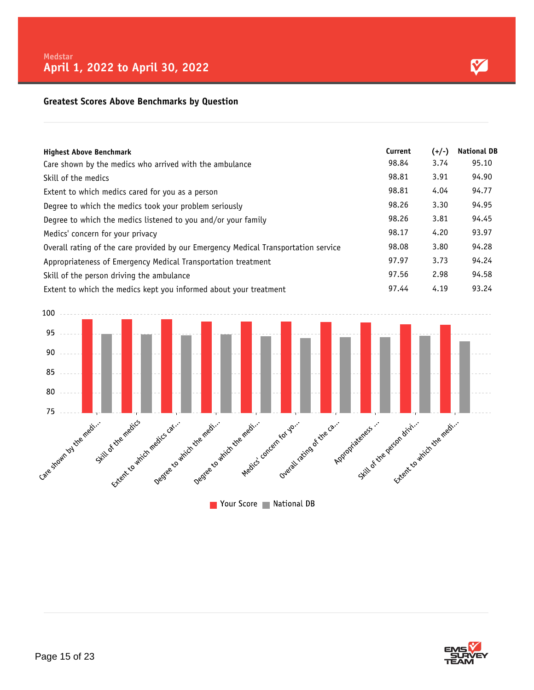#### **Greatest Scores Above Benchmarks by Question**

| <b>Highest Above Benchmark</b>                                                      | Current | $(+/-)$ | <b>National DB</b> |
|-------------------------------------------------------------------------------------|---------|---------|--------------------|
| Care shown by the medics who arrived with the ambulance                             | 98.84   | 3.74    | 95.10              |
| Skill of the medics                                                                 | 98.81   | 3.91    | 94.90              |
| Extent to which medics cared for you as a person                                    | 98.81   | 4.04    | 94.77              |
| Degree to which the medics took your problem seriously                              | 98.26   | 3.30    | 94.95              |
| Degree to which the medics listened to you and/or your family                       | 98.26   | 3.81    | 94.45              |
| Medics' concern for your privacy                                                    | 98.17   | 4.20    | 93.97              |
| Overall rating of the care provided by our Emergency Medical Transportation service | 98.08   | 3.80    | 94.28              |
| Appropriateness of Emergency Medical Transportation treatment                       | 97.97   | 3.73    | 94.24              |
| Skill of the person driving the ambulance                                           | 97.56   | 2.98    | 94.58              |
| Extent to which the medics kept you informed about your treatment                   | 97.44   | 4.19    | 93.24              |



Vour Score National DB



M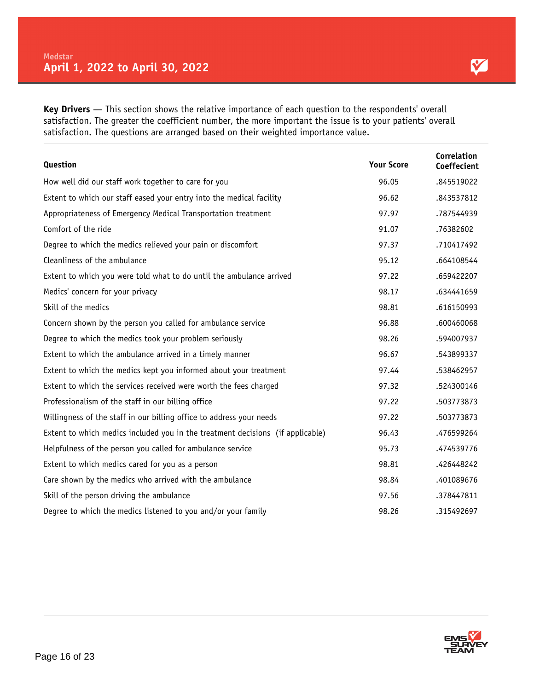M

**Key Drivers** — This section shows the relative importance of each question to the respondents' overall satisfaction. The greater the coefficient number, the more important the issue is to your patients' overall satisfaction. The questions are arranged based on their weighted importance value.

| Question                                                                       | <b>Your Score</b> | Correlation<br>Coeffecient |
|--------------------------------------------------------------------------------|-------------------|----------------------------|
| How well did our staff work together to care for you                           | 96.05             | .845519022                 |
| Extent to which our staff eased your entry into the medical facility           | 96.62             | .843537812                 |
| Appropriateness of Emergency Medical Transportation treatment                  | 97.97             | .787544939                 |
| Comfort of the ride                                                            | 91.07             | .76382602                  |
| Degree to which the medics relieved your pain or discomfort                    | 97.37             | .710417492                 |
| Cleanliness of the ambulance                                                   | 95.12             | .664108544                 |
| Extent to which you were told what to do until the ambulance arrived           | 97.22             | .659422207                 |
| Medics' concern for your privacy                                               | 98.17             | .634441659                 |
| Skill of the medics                                                            | 98.81             | .616150993                 |
| Concern shown by the person you called for ambulance service                   | 96.88             | .600460068                 |
| Degree to which the medics took your problem seriously                         | 98.26             | .594007937                 |
| Extent to which the ambulance arrived in a timely manner                       | 96.67             | .543899337                 |
| Extent to which the medics kept you informed about your treatment              | 97.44             | .538462957                 |
| Extent to which the services received were worth the fees charged              | 97.32             | .524300146                 |
| Professionalism of the staff in our billing office                             | 97.22             | .503773873                 |
| Willingness of the staff in our billing office to address your needs           | 97.22             | .503773873                 |
| Extent to which medics included you in the treatment decisions (if applicable) | 96.43             | .476599264                 |
| Helpfulness of the person you called for ambulance service                     | 95.73             | .474539776                 |
| Extent to which medics cared for you as a person                               | 98.81             | .426448242                 |
| Care shown by the medics who arrived with the ambulance                        | 98.84             | .401089676                 |
| Skill of the person driving the ambulance                                      | 97.56             | .378447811                 |
| Degree to which the medics listened to you and/or your family                  | 98.26             | .315492697                 |

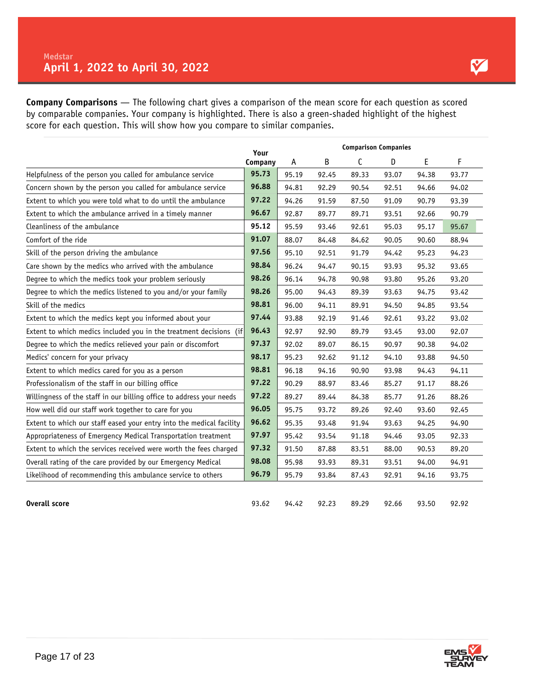**Company Comparisons** — The following chart gives a comparison of the mean score for each question as scored by comparable companies. Your company is highlighted. There is also a green-shaded highlight of the highest score for each question. This will show how you compare to similar companies.

|                                                                      | Your    | <b>Comparison Companies</b> |       |       |       |       |       |
|----------------------------------------------------------------------|---------|-----------------------------|-------|-------|-------|-------|-------|
|                                                                      | Company | A                           | B     | С     | D     | E     | F     |
| Helpfulness of the person you called for ambulance service           | 95.73   | 95.19                       | 92.45 | 89.33 | 93.07 | 94.38 | 93.77 |
| Concern shown by the person you called for ambulance service         | 96.88   | 94.81                       | 92.29 | 90.54 | 92.51 | 94.66 | 94.02 |
| Extent to which you were told what to do until the ambulance         | 97.22   | 94.26                       | 91.59 | 87.50 | 91.09 | 90.79 | 93.39 |
| Extent to which the ambulance arrived in a timely manner             | 96.67   | 92.87                       | 89.77 | 89.71 | 93.51 | 92.66 | 90.79 |
| Cleanliness of the ambulance                                         | 95.12   | 95.59                       | 93.46 | 92.61 | 95.03 | 95.17 | 95.67 |
| Comfort of the ride                                                  | 91.07   | 88.07                       | 84.48 | 84.62 | 90.05 | 90.60 | 88.94 |
| Skill of the person driving the ambulance                            | 97.56   | 95.10                       | 92.51 | 91.79 | 94.42 | 95.23 | 94.23 |
| Care shown by the medics who arrived with the ambulance              | 98.84   | 96.24                       | 94.47 | 90.15 | 93.93 | 95.32 | 93.65 |
| Degree to which the medics took your problem seriously               | 98.26   | 96.14                       | 94.78 | 90.98 | 93.80 | 95.26 | 93.20 |
| Degree to which the medics listened to you and/or your family        | 98.26   | 95.00                       | 94.43 | 89.39 | 93.63 | 94.75 | 93.42 |
| Skill of the medics                                                  | 98.81   | 96.00                       | 94.11 | 89.91 | 94.50 | 94.85 | 93.54 |
| Extent to which the medics kept you informed about your              | 97.44   | 93.88                       | 92.19 | 91.46 | 92.61 | 93.22 | 93.02 |
| Extent to which medics included you in the treatment decisions (if   | 96.43   | 92.97                       | 92.90 | 89.79 | 93.45 | 93.00 | 92.07 |
| Degree to which the medics relieved your pain or discomfort          | 97.37   | 92.02                       | 89.07 | 86.15 | 90.97 | 90.38 | 94.02 |
| Medics' concern for your privacy                                     | 98.17   | 95.23                       | 92.62 | 91.12 | 94.10 | 93.88 | 94.50 |
| Extent to which medics cared for you as a person                     | 98.81   | 96.18                       | 94.16 | 90.90 | 93.98 | 94.43 | 94.11 |
| Professionalism of the staff in our billing office                   | 97.22   | 90.29                       | 88.97 | 83.46 | 85.27 | 91.17 | 88.26 |
| Willingness of the staff in our billing office to address your needs | 97.22   | 89.27                       | 89.44 | 84.38 | 85.77 | 91.26 | 88.26 |
| How well did our staff work together to care for you                 | 96.05   | 95.75                       | 93.72 | 89.26 | 92.40 | 93.60 | 92.45 |
| Extent to which our staff eased your entry into the medical facility | 96.62   | 95.35                       | 93.48 | 91.94 | 93.63 | 94.25 | 94.90 |
| Appropriateness of Emergency Medical Transportation treatment        | 97.97   | 95.42                       | 93.54 | 91.18 | 94.46 | 93.05 | 92.33 |
| Extent to which the services received were worth the fees charged    | 97.32   | 91.50                       | 87.88 | 83.51 | 88.00 | 90.53 | 89.20 |
| Overall rating of the care provided by our Emergency Medical         | 98.08   | 95.98                       | 93.93 | 89.31 | 93.51 | 94.00 | 94.91 |
| Likelihood of recommending this ambulance service to others          | 96.79   | 95.79                       | 93.84 | 87.43 | 92.91 | 94.16 | 93.75 |
| <b>Overall score</b>                                                 | 93.62   | 94.42                       | 92.23 | 89.29 | 92.66 | 93.50 | 92.92 |

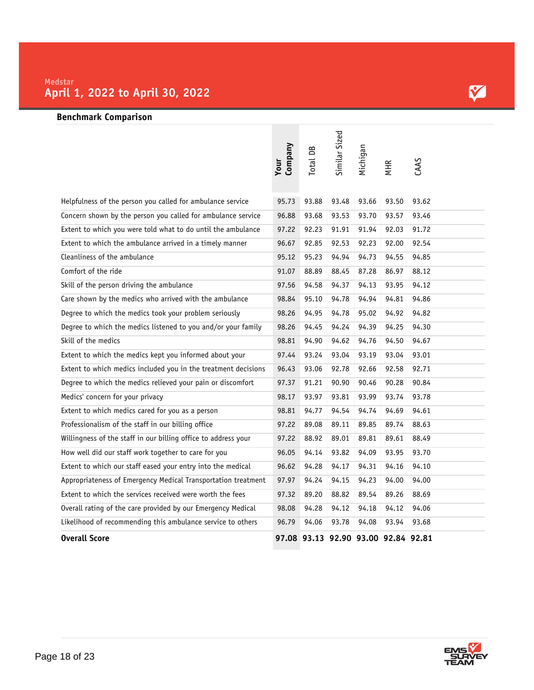## M

#### **Benchmark Comparison**

|                                                                | <b>Company</b><br>Your | Total DB | Similar Sized                       | Michigan | <b>MHR</b> | CAAS  |
|----------------------------------------------------------------|------------------------|----------|-------------------------------------|----------|------------|-------|
| Helpfulness of the person you called for ambulance service     | 95.73                  | 93.88    | 93.48                               | 93.66    | 93.50      | 93.62 |
| Concern shown by the person you called for ambulance service   | 96.88                  | 93.68    | 93.53                               | 93.70    | 93.57      | 93.46 |
| Extent to which you were told what to do until the ambulance   | 97.22                  | 92.23    | 91.91                               | 91.94    | 92.03      | 91.72 |
| Extent to which the ambulance arrived in a timely manner       | 96.67                  | 92.85    | 92.53                               | 92.23    | 92.00      | 92.54 |
| Cleanliness of the ambulance                                   | 95.12                  | 95.23    | 94.94                               | 94.73    | 94.55      | 94.85 |
| Comfort of the ride                                            | 91.07                  | 88.89    | 88.45                               | 87.28    | 86.97      | 88.12 |
| Skill of the person driving the ambulance                      | 97.56                  | 94.58    | 94.37                               | 94.13    | 93.95      | 94.12 |
| Care shown by the medics who arrived with the ambulance        | 98.84                  | 95.10    | 94.78                               | 94.94    | 94.81      | 94.86 |
| Degree to which the medics took your problem seriously         | 98.26                  | 94.95    | 94.78                               | 95.02    | 94.92      | 94.82 |
| Degree to which the medics listened to you and/or your family  | 98.26                  | 94.45    | 94.24                               | 94.39    | 94.25      | 94.30 |
| Skill of the medics                                            | 98.81                  | 94.90    | 94.62                               | 94.76    | 94.50      | 94.67 |
| Extent to which the medics kept you informed about your        | 97.44                  | 93.24    | 93.04                               | 93.19    | 93.04      | 93.01 |
| Extent to which medics included you in the treatment decisions | 96.43                  | 93.06    | 92.78                               | 92.66    | 92.58      | 92.71 |
| Degree to which the medics relieved your pain or discomfort    | 97.37                  | 91.21    | 90.90                               | 90.46    | 90.28      | 90.84 |
| Medics' concern for your privacy                               | 98.17                  | 93.97    | 93.81                               | 93.99    | 93.74      | 93.78 |
| Extent to which medics cared for you as a person               | 98.81                  | 94.77    | 94.54                               | 94.74    | 94.69      | 94.61 |
| Professionalism of the staff in our billing office             | 97.22                  | 89.08    | 89.11                               | 89.85    | 89.74      | 88.63 |
| Willingness of the staff in our billing office to address your | 97.22                  | 88.92    | 89.01                               | 89.81    | 89.61      | 88.49 |
| How well did our staff work together to care for you           | 96.05                  | 94.14    | 93.82                               | 94.09    | 93.95      | 93.70 |
| Extent to which our staff eased your entry into the medical    | 96.62                  | 94.28    | 94.17                               | 94.31    | 94.16      | 94.10 |
| Appropriateness of Emergency Medical Transportation treatment  | 97.97                  | 94.24    | 94.15                               | 94.23    | 94.00      | 94.00 |
| Extent to which the services received were worth the fees      | 97.32                  | 89.20    | 88.82                               | 89.54    | 89.26      | 88.69 |
| Overall rating of the care provided by our Emergency Medical   | 98.08                  | 94.28    | 94.12                               | 94.18    | 94.12      | 94.06 |
| Likelihood of recommending this ambulance service to others    | 96.79                  | 94.06    | 93.78                               | 94.08    | 93.94      | 93.68 |
| <b>Overall Score</b>                                           |                        |          | 97.08 93.13 92.90 93.00 92.84 92.81 |          |            |       |

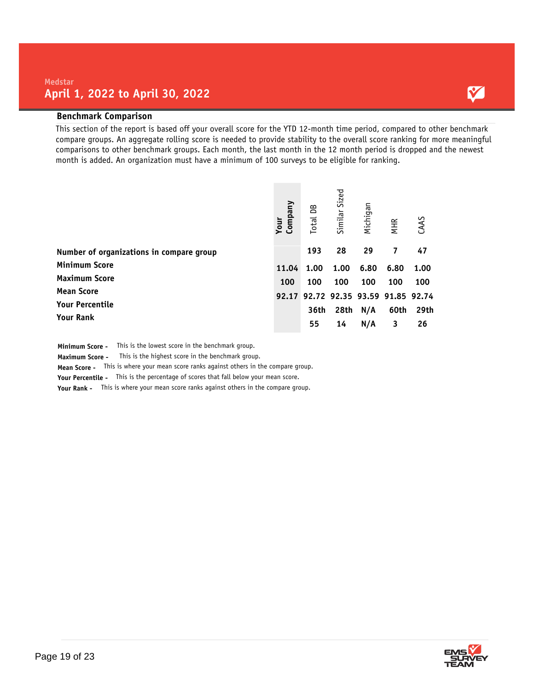#### **Benchmark Comparison**

This section of the report is based off your overall score for the YTD 12-month time period, compared to other benchmark compare groups. An aggregate rolling score is needed to provide stability to the overall score ranking for more meaningful comparisons to other benchmark groups. Each month, the last month in the 12 month period is dropped and the newest month is added. An organization must have a minimum of 100 surveys to be eligible for ranking.

|                                          | Company<br>Your | Total DB | Similar Sized | Michigan | <b>MHR</b>                    | CAAS |
|------------------------------------------|-----------------|----------|---------------|----------|-------------------------------|------|
| Number of organizations in compare group |                 | 193      | 28            | 29       | 7                             | 47   |
| <b>Minimum Score</b>                     | 11.04           | 1.00     | 1.00          | 6.80     | 6.80                          | 1.00 |
| <b>Maximum Score</b>                     | 100             | 100      | 100           | 100      | 100                           | 100  |
| <b>Mean Score</b>                        | 92.17           |          |               |          | 92.72 92.35 93.59 91.85 92.74 |      |
| <b>Your Percentile</b>                   |                 | 36th     | 28th          | N/A      | 60th                          | 29th |
| <b>Your Rank</b>                         |                 | 55       | 14            | N/A      | 3                             | 26   |

**Minimum Score -** This is the lowest score in the benchmark group.

**Maximum Score -** This is the highest score in the benchmark group.

**Mean Score -** This is where your mean score ranks against others in the compare group.

**Your Percentile -** This is the percentage of scores that fall below your mean score.

**Your Rank -** This is where your mean score ranks against others in the compare group.



Y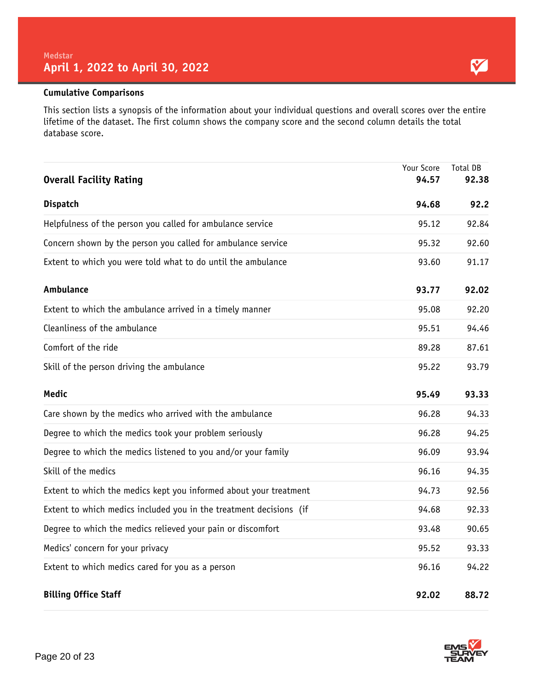#### **Cumulative Comparisons**

This section lists a synopsis of the information about your individual questions and overall scores over the entire lifetime of the dataset. The first column shows the company score and the second column details the total database score.

| <b>Overall Facility Rating</b>                                     | Your Score<br>94.57 | Total DB<br>92.38 |
|--------------------------------------------------------------------|---------------------|-------------------|
| <b>Dispatch</b>                                                    | 94.68               | 92.2              |
| Helpfulness of the person you called for ambulance service         | 95.12               | 92.84             |
| Concern shown by the person you called for ambulance service       | 95.32               | 92.60             |
| Extent to which you were told what to do until the ambulance       | 93.60               | 91.17             |
| Ambulance                                                          | 93.77               | 92.02             |
| Extent to which the ambulance arrived in a timely manner           | 95.08               | 92.20             |
| Cleanliness of the ambulance                                       | 95.51               | 94.46             |
| Comfort of the ride                                                | 89.28               | 87.61             |
| Skill of the person driving the ambulance                          | 95.22               | 93.79             |
| <b>Medic</b>                                                       | 95.49               | 93.33             |
| Care shown by the medics who arrived with the ambulance            | 96.28               | 94.33             |
| Degree to which the medics took your problem seriously             | 96.28               | 94.25             |
| Degree to which the medics listened to you and/or your family      | 96.09               | 93.94             |
| Skill of the medics                                                | 96.16               | 94.35             |
| Extent to which the medics kept you informed about your treatment  | 94.73               | 92.56             |
| Extent to which medics included you in the treatment decisions (if | 94.68               | 92.33             |
| Degree to which the medics relieved your pain or discomfort        | 93.48               | 90.65             |
| Medics' concern for your privacy                                   | 95.52               | 93.33             |
| Extent to which medics cared for you as a person                   | 96.16               | 94.22             |
| <b>Billing Office Staff</b>                                        | 92.02               | 88.72             |

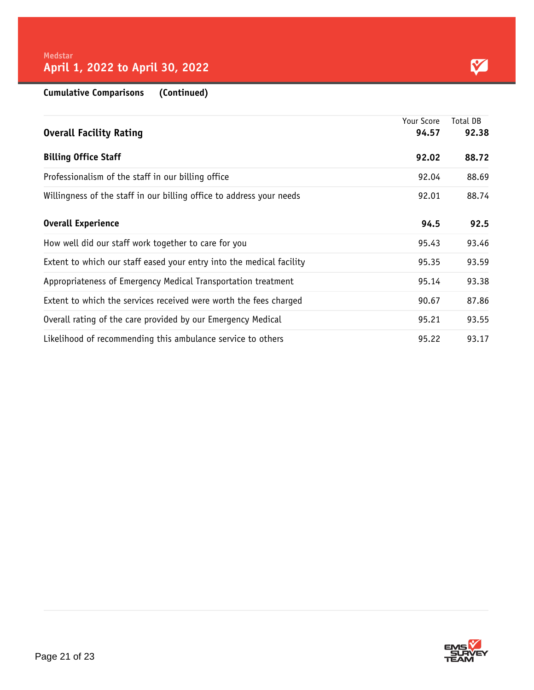Y

**Cumulative Comparisons (Continued)**

|                                                                      | Your Score | Total DB |
|----------------------------------------------------------------------|------------|----------|
| <b>Overall Facility Rating</b>                                       | 94.57      | 92.38    |
| <b>Billing Office Staff</b>                                          | 92.02      | 88.72    |
| Professionalism of the staff in our billing office                   | 92.04      | 88.69    |
| Willingness of the staff in our billing office to address your needs | 92.01      | 88.74    |
| <b>Overall Experience</b>                                            | 94.5       | 92.5     |
| How well did our staff work together to care for you                 | 95.43      | 93.46    |
| Extent to which our staff eased your entry into the medical facility | 95.35      | 93.59    |
| Appropriateness of Emergency Medical Transportation treatment        | 95.14      | 93.38    |
| Extent to which the services received were worth the fees charged    | 90.67      | 87.86    |
| Overall rating of the care provided by our Emergency Medical         | 95.21      | 93.55    |
| Likelihood of recommending this ambulance service to others          | 95.22      | 93.17    |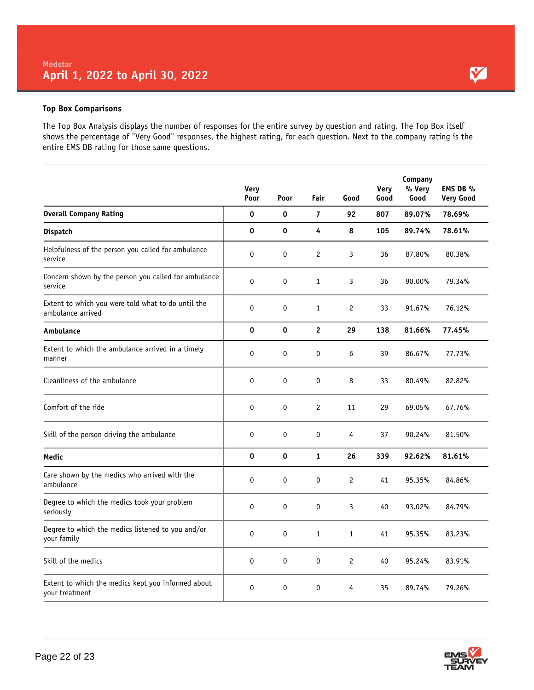#### **Top Box Comparisons**

The Top Box Analysis displays the number of responses for the entire survey by question and rating. The Top Box itself shows the percentage of "Very Good" responses, the highest rating, for each question. Next to the company rating is the entire EMS DB rating for those same questions.

|                                                                         | <b>Very</b><br>Poor | Poor | Fair                 | Good           | Very<br>Good | Company<br>% Very<br>Good | EMS DB %<br><b>Very Good</b> |
|-------------------------------------------------------------------------|---------------------|------|----------------------|----------------|--------------|---------------------------|------------------------------|
| <b>Overall Company Rating</b>                                           | 0                   | 0    | $\overline{7}$       | 92             | 807          | 89.07%                    | 78.69%                       |
| <b>Dispatch</b>                                                         | 0                   | 0    | 4                    | 8              | 105          | 89.74%                    | 78.61%                       |
| Helpfulness of the person you called for ambulance<br>service           | 0                   | 0    | $\mathbf{2}$         | 3              | 36           | 87.80%                    | 80.38%                       |
| Concern shown by the person you called for ambulance<br>service         | 0                   | 0    | $\mathbf{1}$         | 3              | 36           | 90.00%                    | 79.34%                       |
| Extent to which you were told what to do until the<br>ambulance arrived | 0                   | 0    | $\mathbf{1}$         | $\overline{c}$ | 33           | 91.67%                    | 76.12%                       |
| Ambulance                                                               | 0                   | 0    | $\overline{c}$       | 29             | 138          | 81.66%                    | 77.45%                       |
| Extent to which the ambulance arrived in a timely<br>manner             | 0                   | 0    | 0                    | 6              | 39           | 86.67%                    | 77.73%                       |
| Cleanliness of the ambulance                                            | 0                   | 0    | 0                    | 8              | 33           | 80.49%                    | 82.82%                       |
| Comfort of the ride                                                     | 0                   | 0    | $\mathbf{2}^{\circ}$ | 11             | 29           | 69.05%                    | 67.76%                       |
| Skill of the person driving the ambulance                               | 0                   | 0    | $\mathbf 0$          | 4              | 37           | 90.24%                    | 81.50%                       |
| Medic                                                                   | 0                   | 0    | $\mathbf{1}$         | 26             | 339          | 92.62%                    | 81.61%                       |
| Care shown by the medics who arrived with the<br>ambulance              | 0                   | 0    | $\mathbf 0$          | $\overline{c}$ | 41           | 95.35%                    | 84.86%                       |
| Degree to which the medics took your problem<br>seriously               | 0                   | 0    | 0                    | 3              | 40           | 93.02%                    | 84.79%                       |
| Degree to which the medics listened to you and/or<br>your family        | 0                   | 0    | $\mathbf{1}$         | $\mathbf{1}$   | 41           | 95.35%                    | 83.23%                       |
| Skill of the medics                                                     | 0                   | 0    | $\mathbf 0$          | $\overline{c}$ | 40           | 95.24%                    | 83.91%                       |
| Extent to which the medics kept you informed about<br>your treatment    | 0                   | 0    | 0                    | 4              | 35           | 89.74%                    | 79.26%                       |